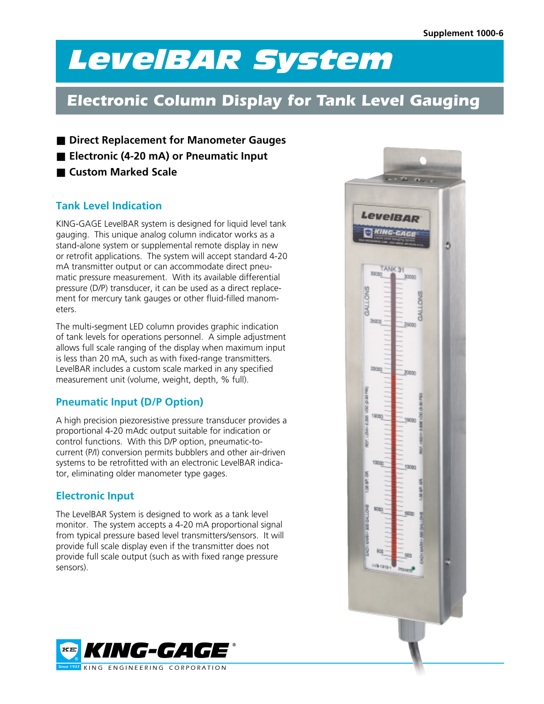## *LevelBARSystem*

## *Electronic Column Display for Tank Level Gauging*

■ Direct Replacement for Manometer Gauges

- **Electronic (4-20 mA) or Pneumatic Input**
- Custom Marked Scale

## **Tank Level Indication**

KING-GAGE LevelBAR system is designed for liquid level tank gauging. This unique analog column indicator works as a stand-alone system or supplemental remote display in new or retrofit applications. The system will accept standard 4-20 mA transmitter output or can accommodate direct pneumatic pressure measurement. With its available differential pressure (D/P) transducer, it can be used as a direct replacement for mercury tank gauges or other fluid-filled manometers.

The multi-segment LED column provides graphic indication of tank levels for operations personnel. A simple adjustment allows full scale ranging of the display when maximum input is less than 20 mA, such as with fixed-range transmitters. LevelBAR includes a custom scale marked in any specified measurement unit (volume, weight, depth, % full).

## **Pneumatic Input (D/P Option)**

A high precision piezoresistive pressure transducer provides a proportional 4-20 mAdc output suitable for indication or control functions. With this D/P option, pneumatic-tocurrent (P/I) conversion permits bubblers and other air-driven systems to be retrofitted with an electronic LevelBAR indicator, eliminating older manometer type gages.

## **Electronic Input**

The LevelBAR System is designed to work as a tank level monitor. The system accepts a 4-20 mA proportional signal from typical pressure based level transmitters/sensors. It will provide full scale display even if the transmitter does not provide full scale output (such as with fixed range pressure sensors).



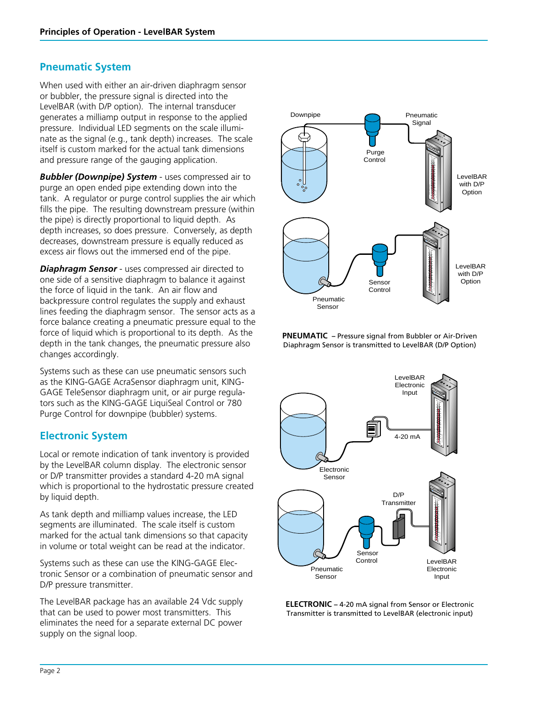## **Pneumatic System**

When used with either an air-driven diaphragm sensor or bubbler, the pressure signal is directed into the LevelBAR (with D/P option). The internal transducer generates a milliamp output in response to the applied pressure. Individual LED segments on the scale illuminate as the signal (e.g., tank depth) increases. The scale itself is custom marked for the actual tank dimensions and pressure range of the gauging application.

*Bubbler (Downpipe) System* - uses compressed air to purge an open ended pipe extending down into the tank. A regulator or purge control supplies the air which fills the pipe. The resulting downstream pressure (within the pipe) is directly proportional to liquid depth. As depth increases, so does pressure. Conversely, as depth decreases, downstream pressure is equally reduced as excess air flows out the immersed end of the pipe.

*Diaphragm Sensor* - uses compressed air directed to one side of a sensitive diaphragm to balance it against the force of liquid in the tank. An air flow and backpressure control regulates the supply and exhaust lines feeding the diaphragm sensor. The sensor acts as a force balance creating a pneumatic pressure equal to the force of liquid which is proportional to its depth. As the depth in the tank changes, the pneumatic pressure also changes accordingly.

Systems such as these can use pneumatic sensors such as the KING-GAGE AcraSensor diaphragm unit, KING-GAGE TeleSensor diaphragm unit, or air purge regulators such as the KING-GAGE LiquiSeal Control or 780 Purge Control for downpipe (bubbler) systems.

## **Electronic System**

Local or remote indication of tank inventory is provided by the LevelBAR column display. The electronic sensor or D/P transmitter provides a standard 4-20 mA signal which is proportional to the hydrostatic pressure created by liquid depth.

As tank depth and milliamp values increase, the LED segments are illuminated. The scale itself is custom marked for the actual tank dimensions so that capacity in volume or total weight can be read at the indicator.

Systems such as these can use the KING-GAGE Electronic Sensor or a combination of pneumatic sensor and D/P pressure transmitter.

The LevelBAR package has an available 24 Vdc supply that can be used to power most transmitters. This eliminates the need for a separate external DC power supply on the signal loop.







**ELECTRONIC –** 4-20 mA signal from Sensor or Electronic Transmitter is transmitted to LevelBAR (electronic input)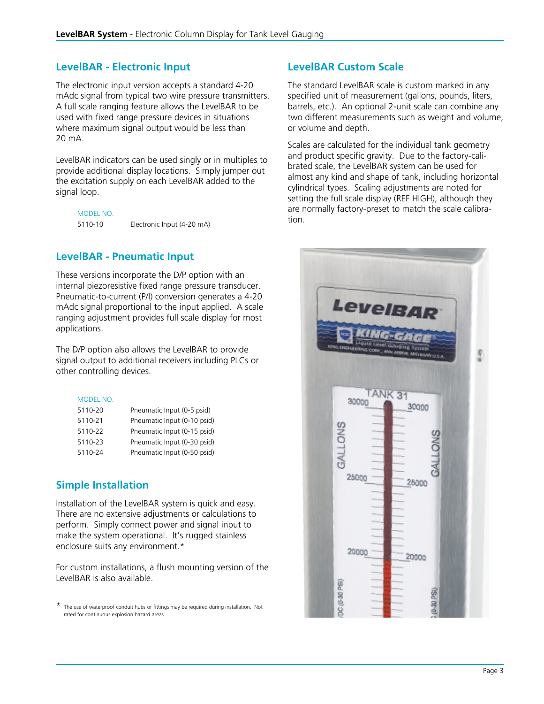### **LevelBAR - Electronic Input**

The electronic input version accepts a standard 4-20 mAdc signal from typical two wire pressure transmitters. A full scale ranging feature allows the LevelBAR to be used with fixed range pressure devices in situations where maximum signal output would be less than 20 mA.

LevelBAR indicators can be used singly or in multiples to provide additional display locations. Simply jumper out the excitation supply on each LevelBAR added to the signal loop.

MODEL NO. 5110-10 Electronic Input (4-20 mA)

## **LevelBAR - Pneumatic Input**

These versions incorporate the D/P option with an internal piezoresistive fixed range pressure transducer. Pneumatic-to-current (P/I) conversion generates a 4-20 mAdc signal proportional to the input applied. A scale ranging adjustment provides full scale display for most applications.

The D/P option also allows the LevelBAR to provide signal output to additional receivers including PLCs or other controlling devices.

#### MODEL NO.

| 5110-20 | Pneumatic Input (0-5 psid)  |
|---------|-----------------------------|
| 5110-21 | Pneumatic Input (0-10 psid) |
| 5110-22 | Pneumatic Input (0-15 psid) |
| 5110-23 | Pneumatic Input (0-30 psid) |
| 5110-24 | Pneumatic Input (0-50 psid) |

## **Simple Installation**

Installation of the LevelBAR system is quick and easy. There are no extensive adjustments or calculations to perform. Simply connect power and signal input to make the system operational. It's rugged stainless enclosure suits any environment.\*

For custom installations, a flush mounting version of the LevelBAR is also available.

\* The use of waterproof conduit hubs or fittings may be required during installation. Not rated for continuous explosion hazard areas.

## **LevelBAR Custom Scale**

The standard LevelBAR scale is custom marked in any specified unit of measurement (gallons, pounds, liters, barrels, etc.). An optional 2-unit scale can combine any two different measurements such as weight and volume, or volume and depth.

Scales are calculated for the individual tank geometry and product specific gravity. Due to the factory-calibrated scale, the LevelBAR system can be used for almost any kind and shape of tank, including horizontal cylindrical types. Scaling adjustments are noted for setting the full scale display (REF HIGH), although they are normally factory-preset to match the scale calibration.